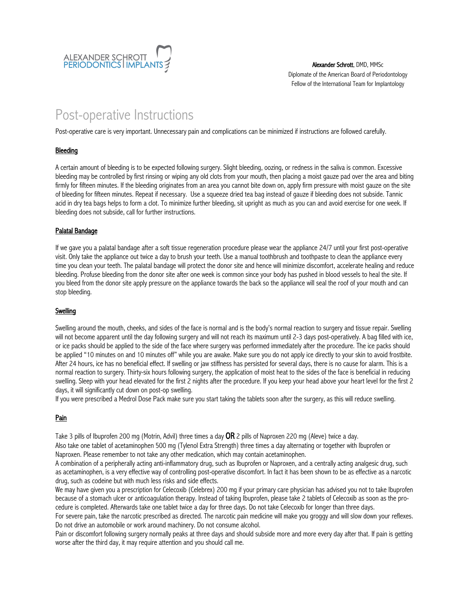

Alexander Schrott, DMD, MMSc Diplomate of the American Board of Periodontology Fellow of the International Team for Implantology

# Post-operative Instructions

Post-operative care is very important. Unnecessary pain and complications can be minimized if instructions are followed carefully.

## **Bleeding**

A certain amount of bleeding is to be expected following surgery. Slight bleeding, oozing, or redness in the saliva is common. Excessive bleeding may be controlled by first rinsing or wiping any old clots from your mouth, then placing a moist gauze pad over the area and biting firmly for fifteen minutes. If the bleeding originates from an area you cannot bite down on, apply firm pressure with moist gauze on the site of bleeding for fifteen minutes. Repeat if necessary. Use a squeeze dried tea bag instead of gauze if bleeding does not subside. Tannic acid in dry tea bags helps to form a clot. To minimize further bleeding, sit upright as much as you can and avoid exercise for one week. If bleeding does not subside, call for further instructions.

## Palatal Bandage

If we gave you a palatal bandage after a soft tissue regeneration procedure please wear the appliance 24/7 until your first post-operative visit. Only take the appliance out twice a day to brush your teeth. Use a manual toothbrush and toothpaste to clean the appliance every time you clean your teeth. The palatal bandage will protect the donor site and hence will minimize discomfort, accelerate healing and reduce bleeding. Profuse bleeding from the donor site after one week is common since your body has pushed in blood vessels to heal the site. If you bleed from the donor site apply pressure on the appliance towards the back so the appliance will seal the roof of your mouth and can stop bleeding.

### **Swelling**

Swelling around the mouth, cheeks, and sides of the face is normal and is the body's normal reaction to surgery and tissue repair. Swelling will not become apparent until the day following surgery and will not reach its maximum until 2-3 days post-operatively. A bag filled with ice, or ice packs should be applied to the side of the face where surgery was performed immediately after the procedure. The ice packs should be applied "10 minutes on and 10 minutes off" while you are awake. Make sure you do not apply ice directly to your skin to avoid frostbite. After 24 hours, ice has no beneficial effect. If swelling or jaw stiffness has persisted for several days, there is no cause for alarm. This is a normal reaction to surgery. Thirty-six hours following surgery, the application of moist heat to the sides of the face is beneficial in reducing swelling. Sleep with your head elevated for the first 2 nights after the procedure. If you keep your head above your heart level for the first 2 days, it will significantly cut down on post-op swelling.

If you were prescribed a Medrol Dose Pack make sure you start taking the tablets soon after the surgery, as this will reduce swelling.

# Pain

Take 3 pills of Ibuprofen 200 mg (Motrin, Advil) three times a day **OR** 2 pills of Naproxen 220 mg (Aleve) twice a day.

Also take one tablet of acetaminophen 500 mg (Tylenol Extra Strength) three times a day alternating or together with Ibuprofen or Naproxen. Please remember to not take any other medication, which may contain acetaminophen.

A combination of a peripherally acting anti-inflammatory drug, such as Ibuprofen or Naproxen, and a centrally acting analgesic drug, such as acetaminophen, is a very effective way of controlling post-operative discomfort. In fact it has been shown to be as effective as a narcotic drug, such as codeine but with much less risks and side effects.

We may have given you a prescription for Celecoxib (Celebrex) 200 mg if your primary care physician has advised you not to take Ibuprofen because of a stomach ulcer or anticoagulation therapy. Instead of taking Ibuprofen, please take 2 tablets of Celecoxib as soon as the procedure is completed. Afterwards take one tablet twice a day for three days. Do not take Celecoxib for longer than three days.

For severe pain, take the narcotic prescribed as directed. The narcotic pain medicine will make you groggy and will slow down your reflexes. Do not drive an automobile or work around machinery. Do not consume alcohol.

Pain or discomfort following surgery normally peaks at three days and should subside more and more every day after that. If pain is getting worse after the third day, it may require attention and you should call me.